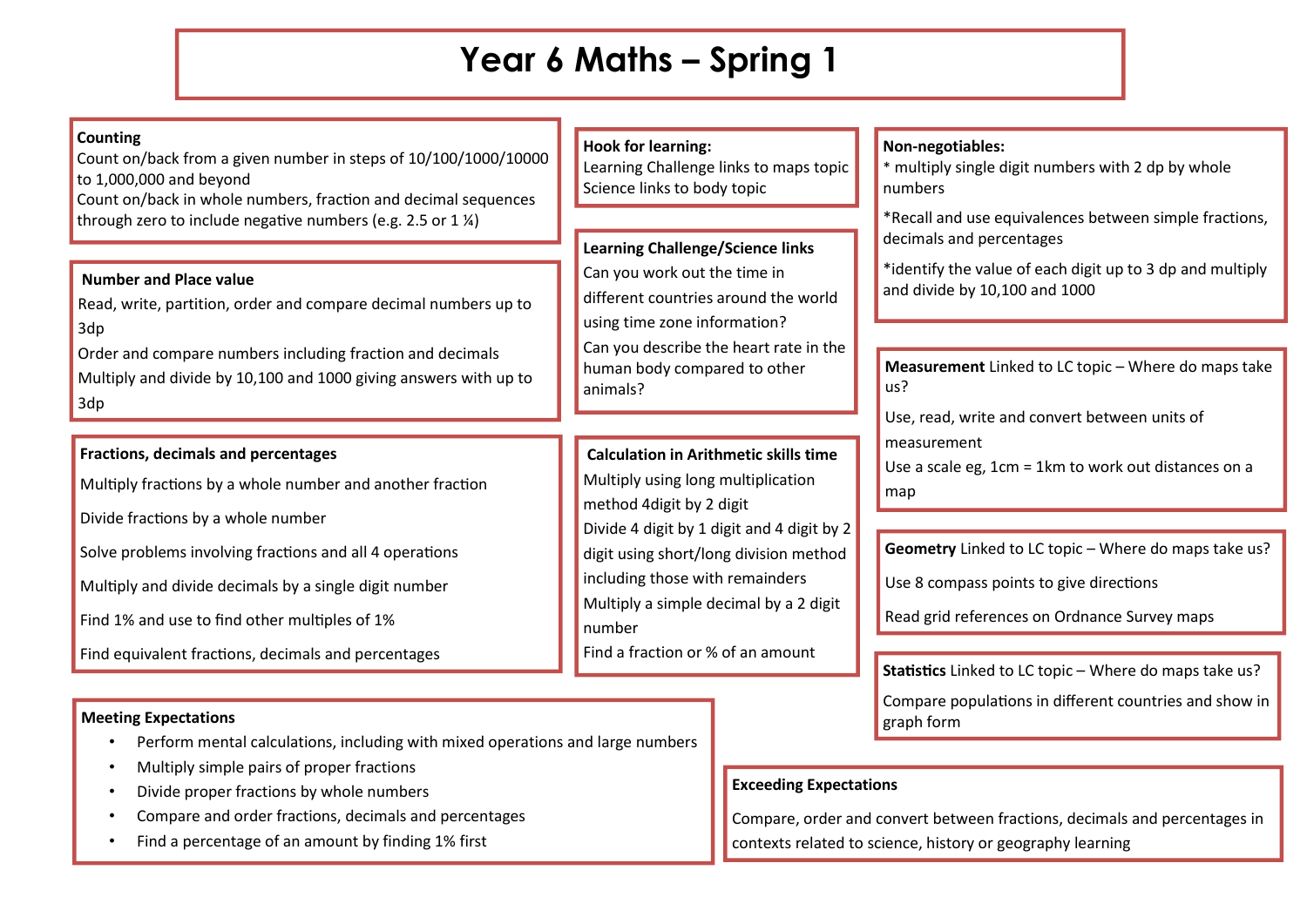# **Year 6 Maths – Spring 1**

#### **Counting**

Count on/back from a given number in steps of 10/100/1000/10000 to 1,000,000 and beyond

Count on/back in whole numbers, fraction and decimal sequences through zero to include negative numbers (e.g. 2.5 or 1  $\frac{1}{2}$ )

#### **Number and Place value**

Read, write, partition, order and compare decimal numbers up to 3dp

Order and compare numbers including fraction and decimals Multiply and divide by 10,100 and 1000 giving answers with up to 3dp

#### **Fractions, decimals and percentages**

Multiply fractions by a whole number and another fraction

Divide fractions by a whole number

Solve problems involving fractions and all 4 operations

Multiply and divide decimals by a single digit number

Find 1% and use to find other multiples of 1%

Find equivalent fractions, decimals and percentages

#### **Meeting Expectations**

- Perform mental calculations, including with mixed operations and large numbers
- Multiply simple pairs of proper fractions
- Divide proper fractions by whole numbers
- Compare and order fractions, decimals and percentages
- Find a percentage of an amount by finding 1% first

### **Hook for learning:**

Learning Challenge links to maps topic Science links to body topic

**Learning Challenge/Science links** Can you work out the time in different countries around the world using time zone information? Can you describe the heart rate in the human body compared to other animals?

# **Calculation in Arithmetic skills time**  Multiply using long multiplication method 4digit by 2 digit Divide 4 digit by 1 digit and 4 digit by 2 digit using short/long division method

including those with remainders Multiply a simple decimal by a 2 digit number

Find a fraction or % of an amount

### **Non-negotiables:**

\* multiply single digit numbers with 2 dp by whole numbers

\*Recall and use equivalences between simple fractions, decimals and percentages

\*identify the value of each digit up to 3 dp and multiply and divide by 10,100 and 1000

**Measurement** Linked to LC topic – Where do maps take us?

Use, read, write and convert between units of

measurement

Use a scale eg, 1cm = 1km to work out distances on a map

**Geometry** Linked to LC topic – Where do maps take us?

Use 8 compass points to give directions

Read grid references on Ordnance Survey maps

**Statistics** Linked to LC topic – Where do maps take us?

Compare populations in different countries and show in graph form

## **Exceeding Expectations**

Compare, order and convert between fractions, decimals and percentages in contexts related to science, history or geography learning